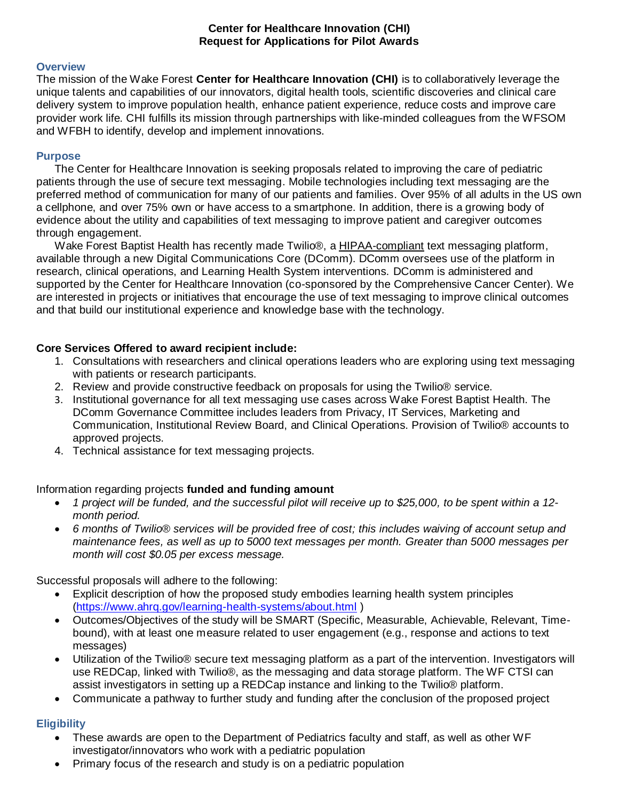### **Center for Healthcare Innovation (CHI) Request for Applications for Pilot Awards**

#### **Overview**

The mission of the Wake Forest **Center for Healthcare Innovation (CHI)** is to collaboratively leverage the unique talents and capabilities of our innovators, digital health tools, scientific discoveries and clinical care delivery system to improve population health, enhance patient experience, reduce costs and improve care provider work life. CHI fulfills its mission through partnerships with like-minded colleagues from the WFSOM and WFBH to identify, develop and implement innovations.

#### **Purpose**

The Center for Healthcare Innovation is seeking proposals related to improving the care of pediatric patients through the use of secure text messaging. Mobile technologies including text messaging are the preferred method of communication for many of our patients and families. Over 95% of all adults in the US own a cellphone, and over 75% own or have access to a smartphone. In addition, there is a growing body of evidence about the utility and capabilities of text messaging to improve patient and caregiver outcomes through engagement.

Wake Forest Baptist Health has recently made Twilio®, a HIPAA-compliant text messaging platform, available through a new Digital Communications Core (DComm). DComm oversees use of the platform in research, clinical operations, and Learning Health System interventions. DComm is administered and supported by the Center for Healthcare Innovation (co-sponsored by the Comprehensive Cancer Center). We are interested in projects or initiatives that encourage the use of text messaging to improve clinical outcomes and that build our institutional experience and knowledge base with the technology.

### **Core Services Offered to award recipient include:**

- 1. Consultations with researchers and clinical operations leaders who are exploring using text messaging with patients or research participants.
- 2. Review and provide constructive feedback on proposals for using the Twilio® service.
- 3. Institutional governance for all text messaging use cases across Wake Forest Baptist Health. The DComm Governance Committee includes leaders from Privacy, IT Services, Marketing and Communication, Institutional Review Board, and Clinical Operations. Provision of Twilio® accounts to approved projects.
- 4. Technical assistance for text messaging projects.

### Information regarding projects **funded and funding amount**

- *1 project will be funded, and the successful pilot will receive up to \$25,000, to be spent within a 12 month period.*
- *6 months of Twilio® services will be provided free of cost; this includes waiving of account setup and maintenance fees, as well as up to 5000 text messages per month. Greater than 5000 messages per month will cost \$0.05 per excess message.*

Successful proposals will adhere to the following:

- Explicit description of how the proposed study embodies learning health system principles [\(https://www.ahrq.gov/learning-health-systems/about.html](https://www.ahrq.gov/learning-health-systems/about.html) )
- Outcomes/Objectives of the study will be SMART (Specific, Measurable, Achievable, Relevant, Timebound), with at least one measure related to user engagement (e.g., response and actions to text messages)
- Utilization of the Twilio® secure text messaging platform as a part of the intervention. Investigators will use REDCap, linked with Twilio®, as the messaging and data storage platform. The WF CTSI can assist investigators in setting up a REDCap instance and linking to the Twilio® platform.
- Communicate a pathway to further study and funding after the conclusion of the proposed project

# **Eligibility**

- These awards are open to the Department of Pediatrics faculty and staff, as well as other WF investigator/innovators who work with a pediatric population
- Primary focus of the research and study is on a pediatric population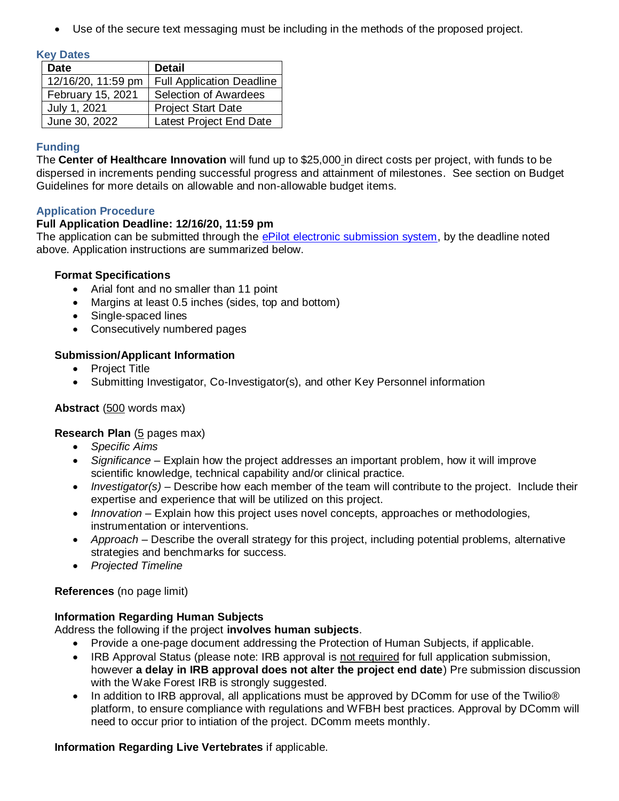Use of the secure text messaging must be including in the methods of the proposed project.

#### **Key Dates**

| <b>Date</b>        | <b>Detail</b>                    |
|--------------------|----------------------------------|
| 12/16/20, 11:59 pm | <b>Full Application Deadline</b> |
| February 15, 2021  | Selection of Awardees            |
| July 1, 2021       | <b>Project Start Date</b>        |
| June 30, 2022      | Latest Project End Date          |

## **Funding**

The **Center of Healthcare Innovation** will fund up to \$25,000 in direct costs per project, with funds to be dispersed in increments pending successful progress and attainment of milestones. See section on Budget Guidelines for more details on allowable and non-allowable budget items.

## **Application Procedure**

### **Full Application Deadline: 12/16/20, 11:59 pm**

The application can be submitted through the [ePilot electronic submission system,](https://redcap.wakehealth.edu/redcap/surveys/?s=AF9KKC4C8R) by the deadline noted above. Application instructions are summarized below.

### **Format Specifications**

- Arial font and no smaller than 11 point
- Margins at least 0.5 inches (sides, top and bottom)
- Single-spaced lines
- Consecutively numbered pages

## **Submission/Applicant Information**

- Project Title
- Submitting Investigator, Co-Investigator(s), and other Key Personnel information

# **Abstract** (500 words max)

# **Research Plan** (5 pages max)

- *Specific Aims*
- *Significance* Explain how the project addresses an important problem, how it will improve scientific knowledge, technical capability and/or clinical practice.
- *Investigator(s)* Describe how each member of the team will contribute to the project. Include their expertise and experience that will be utilized on this project.
- *Innovation* Explain how this project uses novel concepts, approaches or methodologies, instrumentation or interventions.
- *Approach* Describe the overall strategy for this project, including potential problems, alternative strategies and benchmarks for success.
- *Projected Timeline*

# **References** (no page limit)

### **Information Regarding Human Subjects**

Address the following if the project **involves human subjects**.

- Provide a one-page document addressing the Protection of Human Subjects, if applicable.
- IRB Approval Status (please note: IRB approval is not required for full application submission, however **a delay in IRB approval does not alter the project end date**) Pre submission discussion with the Wake Forest IRB is strongly suggested.
- In addition to IRB approval, all applications must be approved by DComm for use of the Twilio® platform, to ensure compliance with regulations and WFBH best practices. Approval by DComm will need to occur prior to intiation of the project. DComm meets monthly.

# **Information Regarding Live Vertebrates** if applicable.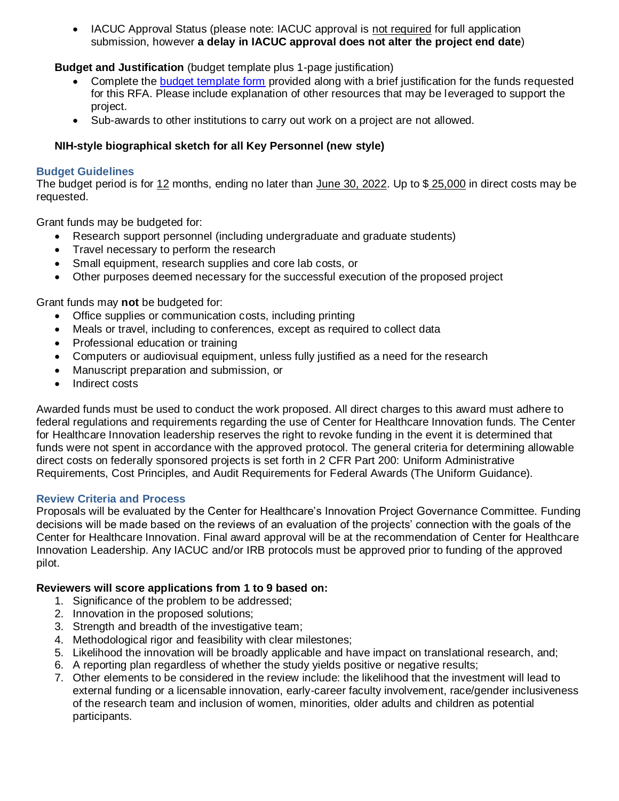• IACUC Approval Status (please note: IACUC approval is not required for full application submission, however **a delay in IACUC approval does not alter the project end date**)

**Budget and Justification** (budget template plus 1-page justification)

- Complete the [budget template form](https://wakehealth.sharepoint.com/:x:/r/teams/CTSIWebCollection/Shared%20Documents/CSTI-Public/CTSI%20Pilot%20Budget%20Template.xlsx) provided along with a brief justification for the funds requested for this RFA. Please include explanation of other resources that may be leveraged to support the project.
- Sub-awards to other institutions to carry out work on a project are not allowed.

# **NIH-style biographical sketch for all Key Personnel (new style)**

### **Budget Guidelines**

The budget period is for 12 months, ending no later than June 30, 2022. Up to \$ 25,000 in direct costs may be requested.

Grant funds may be budgeted for:

- Research support personnel (including undergraduate and graduate students)
- Travel necessary to perform the research
- Small equipment, research supplies and core lab costs, or
- Other purposes deemed necessary for the successful execution of the proposed project

Grant funds may **not** be budgeted for:

- Office supplies or communication costs, including printing
- Meals or travel, including to conferences, except as required to collect data
- Professional education or training
- Computers or audiovisual equipment, unless fully justified as a need for the research
- Manuscript preparation and submission, or
- Indirect costs

Awarded funds must be used to conduct the work proposed. All direct charges to this award must adhere to federal regulations and requirements regarding the use of Center for Healthcare Innovation funds. The Center for Healthcare Innovation leadership reserves the right to revoke funding in the event it is determined that funds were not spent in accordance with the approved protocol. The general criteria for determining allowable direct costs on federally sponsored projects is set forth in 2 CFR Part 200: Uniform Administrative Requirements, Cost Principles, and Audit Requirements for Federal Awards (The Uniform Guidance).

### **Review Criteria and Process**

Proposals will be evaluated by the Center for Healthcare's Innovation Project Governance Committee. Funding decisions will be made based on the reviews of an evaluation of the projects' connection with the goals of the Center for Healthcare Innovation. Final award approval will be at the recommendation of Center for Healthcare Innovation Leadership. Any IACUC and/or IRB protocols must be approved prior to funding of the approved pilot.

### **Reviewers will score applications from 1 to 9 based on:**

- 1. Significance of the problem to be addressed;
- 2. Innovation in the proposed solutions;
- 3. Strength and breadth of the investigative team;
- 4. Methodological rigor and feasibility with clear milestones;
- 5. Likelihood the innovation will be broadly applicable and have impact on translational research, and;
- 6. A reporting plan regardless of whether the study yields positive or negative results;
- 7. Other elements to be considered in the review include: the likelihood that the investment will lead to external funding or a licensable innovation, early-career faculty involvement, race/gender inclusiveness of the research team and inclusion of women, minorities, older adults and children as potential participants.